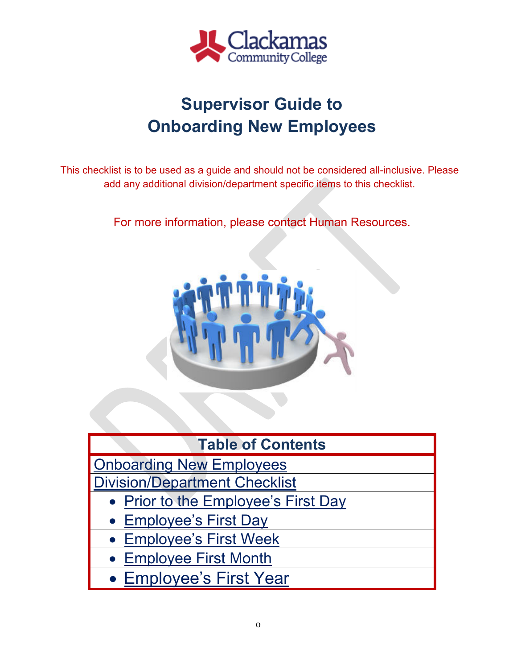

## **Supervisor Guide to Onboarding New Employees**

This checklist is to be used as a guide and should not be considered all-inclusive. Please add any additional division/department specific items to this checklist.

For more information, please contact Human Resources.



| <b>Table of Contents</b>             |
|--------------------------------------|
| <b>Onboarding New Employees</b>      |
| <b>Division/Department Checklist</b> |
| • Prior to the Employee's First Day  |
| • Employee's First Day               |
| • Employee's First Week              |
| • Employee First Month               |
| • Employee's First Year              |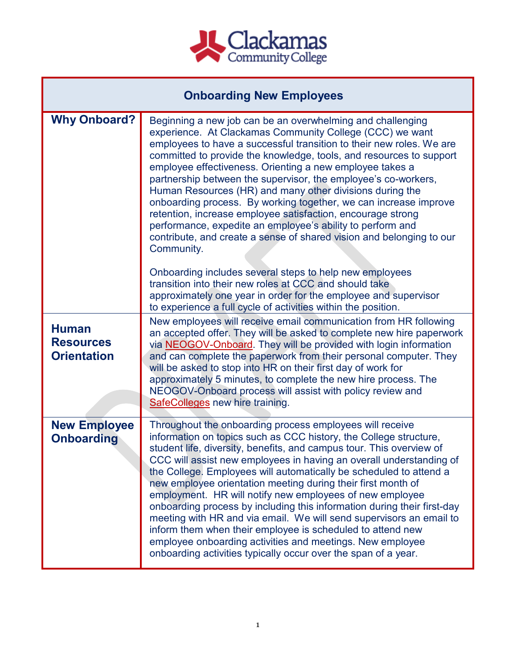

<span id="page-1-0"></span>

| <b>Onboarding New Employees</b>                        |                                                                                                                                                                                                                                                                                                                                                                                                                                                                                                                                                                                                                                                                                                                                                                                                                               |  |  |  |  |
|--------------------------------------------------------|-------------------------------------------------------------------------------------------------------------------------------------------------------------------------------------------------------------------------------------------------------------------------------------------------------------------------------------------------------------------------------------------------------------------------------------------------------------------------------------------------------------------------------------------------------------------------------------------------------------------------------------------------------------------------------------------------------------------------------------------------------------------------------------------------------------------------------|--|--|--|--|
| <b>Why Onboard?</b>                                    | Beginning a new job can be an overwhelming and challenging<br>experience. At Clackamas Community College (CCC) we want<br>employees to have a successful transition to their new roles. We are<br>committed to provide the knowledge, tools, and resources to support<br>employee effectiveness. Orienting a new employee takes a<br>partnership between the supervisor, the employee's co-workers,<br>Human Resources (HR) and many other divisions during the<br>onboarding process. By working together, we can increase improve<br>retention, increase employee satisfaction, encourage strong<br>performance, expedite an employee's ability to perform and<br>contribute, and create a sense of shared vision and belonging to our<br>Community.                                                                        |  |  |  |  |
|                                                        | Onboarding includes several steps to help new employees<br>transition into their new roles at CCC and should take<br>approximately one year in order for the employee and supervisor<br>to experience a full cycle of activities within the position.                                                                                                                                                                                                                                                                                                                                                                                                                                                                                                                                                                         |  |  |  |  |
| <b>Human</b><br><b>Resources</b><br><b>Orientation</b> | New employees will receive email communication from HR following<br>an accepted offer. They will be asked to complete new hire paperwork<br>via NEOGOV-Onboard. They will be provided with login information<br>and can complete the paperwork from their personal computer. They<br>will be asked to stop into HR on their first day of work for<br>approximately 5 minutes, to complete the new hire process. The<br>NEOGOV-Onboard process will assist with policy review and<br><b>SafeColleges</b> new hire training.                                                                                                                                                                                                                                                                                                    |  |  |  |  |
| <b>New Employee</b><br><b>Onboarding</b>               | Throughout the onboarding process employees will receive<br>information on topics such as CCC history, the College structure,<br>student life, diversity, benefits, and campus tour. This overview of<br>CCC will assist new employees in having an overall understanding of<br>the College. Employees will automatically be scheduled to attend a<br>new employee orientation meeting during their first month of<br>employment. HR will notify new employees of new employee<br>onboarding process by including this information during their first-day<br>meeting with HR and via email. We will send supervisors an email to<br>inform them when their employee is scheduled to attend new<br>employee onboarding activities and meetings. New employee<br>onboarding activities typically occur over the span of a year. |  |  |  |  |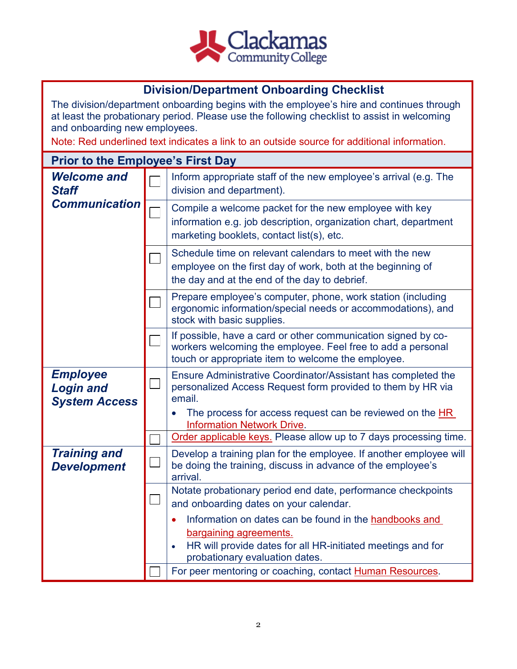

## **Division/Department Onboarding Checklist**

<span id="page-2-0"></span>The division/department onboarding begins with the employee's hire and continues through at least the probationary period. Please use the following checklist to assist in welcoming and onboarding new employees.

Note: Red underlined text indicates a link to an outside source for additional information.

## <span id="page-2-2"></span><span id="page-2-1"></span>**Prior to the Employee's First Day**  Inform appropriate staff of the new employee's arrival (e.g. The *Welcome and Staff*  division and department). *Communication* Compile a welcome packet for the new employee with key information e.g. job description, organization chart, department marketing booklets, contact list(s), etc. Schedule time on relevant calendars to meet with the new  $\Box$ employee on the first day of work, both at the beginning of the day and at the end of the day to debrief. Prepare employee's computer, phone, work station (including ergonomic information/special needs or accommodations), and stock with basic supplies. If possible, have a card or other communication signed by coworkers welcoming the employee. Feel free to add a personal touch or appropriate item to welcome the employee. *Employee* Ensure Administrative Coordinator/Assistant has completed the  $\Box$ personalized Access Request form provided to them by HR via *Login and* email. *System Access* • The process for access request can be reviewed on the HR [Information Network Drive.](file://clackamas.edu/Data/Depts/HR%20Information/Onboarding/New%20Employee%20Access) [Order applicable](http://wcmsprod.clackamas.edu/Internal/CampusServices/Services/) keys. Please allow up to 7 days processing time. *Training and* Develop a training plan for the employee. If another employee will  $\mathbb{R}^n$ be doing the training, discuss in advance of the employee's *Development* arrival. Notate probationary period end date, performance checkpoints  $\Box$ and onboarding dates on your calendar. • Information on dates can be found in the [handbooks and](file://clackamas.edu/Data/Depts/HR%20Information/Bargaining%20Agreements%20&%20Handbooks)  [bargaining agreements.](file://clackamas.edu/Data/Depts/HR%20Information/Bargaining%20Agreements%20&%20Handbooks) • HR will provide dates for all HR-initiated meetings and for probationary evaluation dates. For peer mentoring or coaching, contact Human Resources.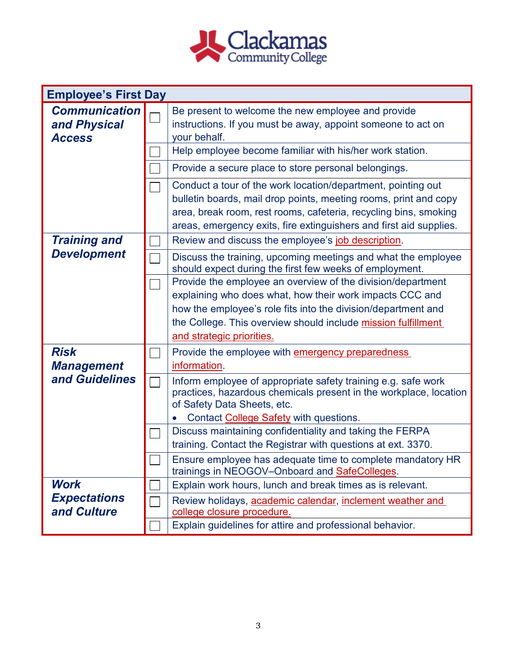

| <b>Employee's First Day</b>                           |                                                                                                                                                                                                                                                                                        |
|-------------------------------------------------------|----------------------------------------------------------------------------------------------------------------------------------------------------------------------------------------------------------------------------------------------------------------------------------------|
| <b>Communication</b><br>and Physical<br><b>Access</b> | Be present to welcome the new employee and provide<br>instructions. If you must be away, appoint someone to act on<br>your behalf.                                                                                                                                                     |
|                                                       | Help employee become familiar with his/her work station.                                                                                                                                                                                                                               |
|                                                       | Provide a secure place to store personal belongings.                                                                                                                                                                                                                                   |
|                                                       | Conduct a tour of the work location/department, pointing out<br>bulletin boards, mail drop points, meeting rooms, print and copy<br>area, break room, rest rooms, cafeteria, recycling bins, smoking<br>areas, emergency exits, fire extinguishers and first aid supplies.             |
| <b>Training and</b>                                   | Review and discuss the employee's job description.                                                                                                                                                                                                                                     |
| <b>Development</b>                                    | Discuss the training, upcoming meetings and what the employee<br>should expect during the first few weeks of employment.                                                                                                                                                               |
|                                                       | Provide the employee an overview of the division/department<br>explaining who does what, how their work impacts CCC and<br>how the employee's role fits into the division/department and<br>the College. This overview should include mission fulfillment<br>and strategic priorities. |
| <b>Risk</b><br><b>Management</b>                      | Provide the employee with <b>emergency preparedness</b><br>information.                                                                                                                                                                                                                |
| and Guidelines                                        | Inform employee of appropriate safety training e.g. safe work<br>practices, hazardous chemicals present in the workplace, location<br>of Safety Data Sheets, etc.<br>Contact College Safety with questions.                                                                            |
|                                                       | Discuss maintaining confidentiality and taking the FERPA<br>training. Contact the Registrar with questions at ext. 3370.                                                                                                                                                               |
|                                                       | Ensure employee has adequate time to complete mandatory HR<br>trainings in NEOGOV-Onboard and SafeColleges.                                                                                                                                                                            |
| <b>Work</b>                                           | Explain work hours, lunch and break times as is relevant.                                                                                                                                                                                                                              |
| <b>Expectations</b><br>and Culture                    | Review holidays, academic calendar, inclement weather and<br>college closure procedure.                                                                                                                                                                                                |
|                                                       | Explain guidelines for attire and professional behavior.                                                                                                                                                                                                                               |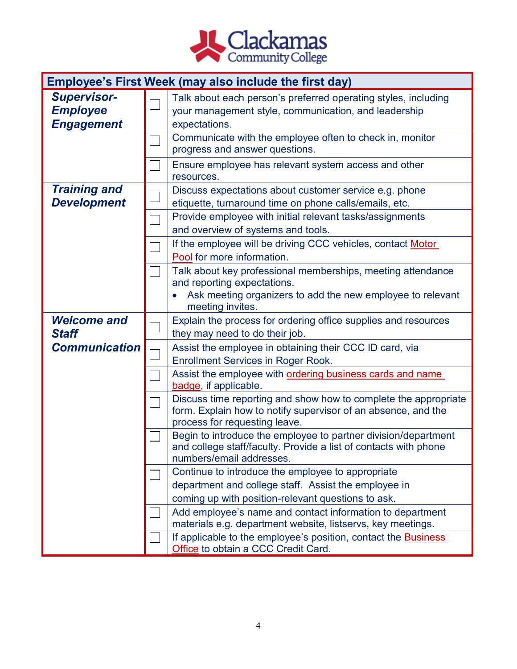

<span id="page-4-1"></span><span id="page-4-0"></span>

|                                                            | Employee's First Week (may also include the first day) |                                                                                                                                                                                                     |  |  |
|------------------------------------------------------------|--------------------------------------------------------|-----------------------------------------------------------------------------------------------------------------------------------------------------------------------------------------------------|--|--|
| <b>Supervisor-</b><br><b>Employee</b><br><b>Engagement</b> |                                                        | Talk about each person's preferred operating styles, including<br>your management style, communication, and leadership<br>expectations.<br>Communicate with the employee often to check in, monitor |  |  |
|                                                            |                                                        | progress and answer questions.                                                                                                                                                                      |  |  |
|                                                            |                                                        | Ensure employee has relevant system access and other<br>resources.                                                                                                                                  |  |  |
| <b>Training and</b><br><b>Development</b>                  |                                                        | Discuss expectations about customer service e.g. phone<br>etiquette, turnaround time on phone calls/emails, etc.                                                                                    |  |  |
|                                                            |                                                        | Provide employee with initial relevant tasks/assignments<br>and overview of systems and tools.                                                                                                      |  |  |
|                                                            |                                                        | If the employee will be driving CCC vehicles, contact Motor<br>Pool for more information.                                                                                                           |  |  |
|                                                            |                                                        | Talk about key professional memberships, meeting attendance<br>and reporting expectations.                                                                                                          |  |  |
|                                                            |                                                        | Ask meeting organizers to add the new employee to relevant<br>meeting invites.                                                                                                                      |  |  |
| <b>Welcome and</b><br><b>Staff</b>                         |                                                        | Explain the process for ordering office supplies and resources<br>they may need to do their job.                                                                                                    |  |  |
| <b>Communication</b>                                       |                                                        | Assist the employee in obtaining their CCC ID card, via<br><b>Enrollment Services in Roger Rook.</b>                                                                                                |  |  |
|                                                            |                                                        | Assist the employee with ordering business cards and name<br>badge, if applicable.                                                                                                                  |  |  |
|                                                            |                                                        | Discuss time reporting and show how to complete the appropriate<br>form. Explain how to notify supervisor of an absence, and the<br>process for requesting leave.                                   |  |  |
|                                                            |                                                        | Begin to introduce the employee to partner division/department<br>and college staff/faculty. Provide a list of contacts with phone<br>numbers/email addresses.                                      |  |  |
|                                                            |                                                        | Continue to introduce the employee to appropriate<br>department and college staff. Assist the employee in                                                                                           |  |  |
|                                                            |                                                        | coming up with position-relevant questions to ask.                                                                                                                                                  |  |  |
|                                                            |                                                        | Add employee's name and contact information to department<br>materials e.g. department website, listservs, key meetings.                                                                            |  |  |
|                                                            |                                                        | If applicable to the employee's position, contact the <b>Business</b><br>Office to obtain a CCC Credit Card.                                                                                        |  |  |